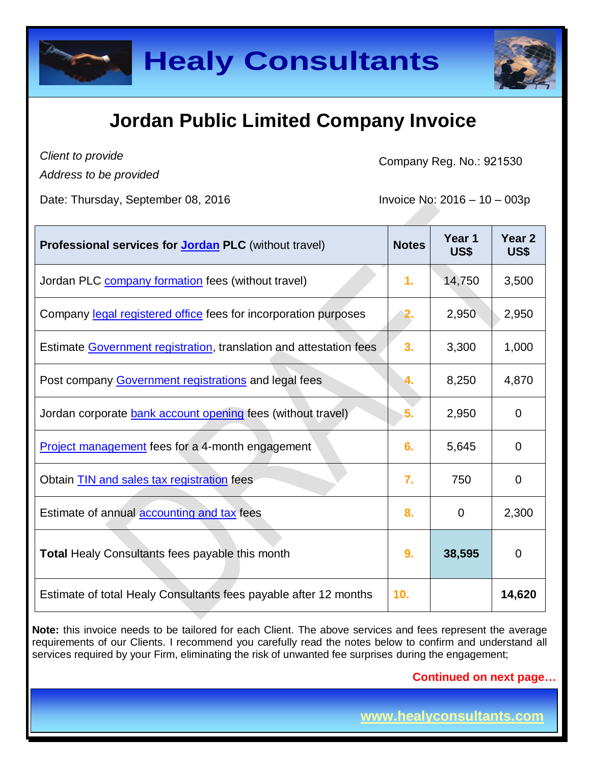



## **Jordan Public Limited Company Invoice**

*Client to provide*

*Address to be provided*

Company Reg. No.: 921530

Date: Thursday, September 08, 2016  $\blacksquare$  Invoice No: 2016 – 10 – 003p

| <b>Professional services for Jordan PLC</b> (without travel)       | <b>Notes</b> | Year 1<br>US\$ | Year <sub>2</sub><br>US\$ |
|--------------------------------------------------------------------|--------------|----------------|---------------------------|
| Jordan PLC company formation fees (without travel)                 | 1.           | 14,750         | 3,500                     |
| Company legal registered office fees for incorporation purposes    | 2.           | 2,950          | 2,950                     |
| Estimate Government registration, translation and attestation fees | 3.           | 3,300          | 1,000                     |
| Post company Government registrations and legal fees               |              | 8,250          | 4,870                     |
| Jordan corporate bank account opening fees (without travel)        | 5.           | 2,950          | $\Omega$                  |
| Project management fees for a 4-month engagement                   | 6.           | 5,645          | 0                         |
| Obtain <b>TIN</b> and sales tax registration fees                  | 7.           | 750            | $\mathbf 0$               |
| Estimate of annual <b>accounting and tax</b> fees                  | 8.           | $\mathbf 0$    | 2,300                     |
| <b>Total Healy Consultants fees payable this month</b>             | 9.           | 38,595         | $\mathbf 0$               |
| Estimate of total Healy Consultants fees payable after 12 months   | 10.          |                | 14,620                    |

**Note:** this invoice needs to be tailored for each Client. The above services and fees represent the average requirements of our Clients. I recommend you carefully read the notes below to confirm and understand all services required by your Firm, eliminating the risk of unwanted fee surprises during the engagement;

**Continued on next page…**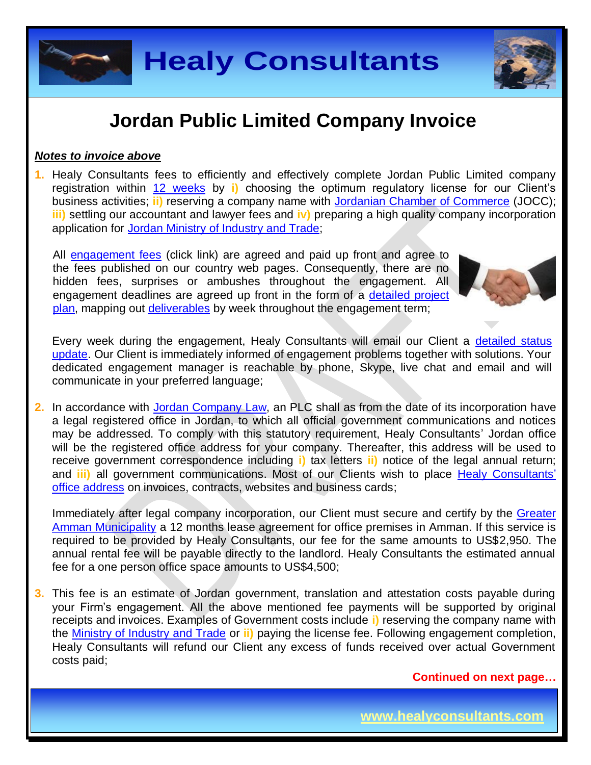

## **Jordan Public Limited Company Invoice**

#### *Notes to invoice above*

**1.** Healy Consultants fees to efficiently and effectively complete Jordan Public Limited company registration within 12 [weeks](http://www.healyconsultants.com/jordan-company-registration/fees-timelines/#timelines) by **i)** choosing the optimum regulatory license for our Client's business activities; **ii)** reserving a company name with [Jordanian Chamber of Commerce](http://www.jocc.org.jo/index_en.php) (JOCC); **iii)** settling our accountant and lawyer fees and **iv)** preparing a high quality company incorporation application for [Jordan Ministry of Industry and Trade;](http://www.mit.gov.jo/EN/Pages/UnderConstruction.aspx)

All [engagement fees](http://www.healyconsultants.com/company-registration-fees/) (click link) are agreed and paid up front and agree to the fees published on our country web pages. Consequently, there are no hidden fees, surprises or ambushes throughout the engagement. All engagement deadlines are agreed up front in the form of a [detailed project](http://www.healyconsultants.com/index-important-links/example-project-plan/)  [plan,](http://www.healyconsultants.com/index-important-links/example-project-plan/) mapping out [deliverables](http://www.healyconsultants.com/deliverables-to-our-clients/) by week throughout the engagement term;



Every week during the engagement, Healy Consultants will email our Client a detailed status [update.](http://www.healyconsultants.com/index-important-links/weekly-engagement-status-email/) Our Client is immediately informed of engagement problems together with solutions. Your dedicated engagement manager is reachable by phone, Skype, live chat and email and will communicate in your preferred language;

**2.** In accordance with Jordan [Company Law,](https://www.sdc.com.jo/english/index.php?option=com_content&task=view&id=227&Itemid=63) an PLC shall as from the date of its incorporation have a legal registered office in Jordan, to which all official government communications and notices may be addressed. To comply with this statutory requirement, Healy Consultants' Jordan office will be the registered office address for your company. Thereafter, this address will be used to receive government correspondence including **i)** tax letters **ii)** notice of the legal annual return; and **iii)** all government communications. Most of our Clients wish to place [Healy Consultants'](http://www.healyconsultants.com/corporate-outsourcing-services/company-secretary-and-legal-registered-office/) [office address](http://www.healyconsultants.com/corporate-outsourcing-services/company-secretary-and-legal-registered-office/) on invoices, contracts, websites and business cards;

Immediately after legal company incorporation, our Client must secure and certify by the Greater [Amman Municipality](http://www.ammancity.gov.jo/en/gam/index.asp) a 12 months lease agreement for office premises in Amman. If this service is required to be provided by Healy Consultants, our fee for the same amounts to US\$2,950. The annual rental fee will be payable directly to the landlord. Healy Consultants the estimated annual fee for a one person office space amounts to US\$4,500;

**3.** This fee is an estimate of Jordan government, translation and attestation costs payable during your Firm's engagement. All the above mentioned fee payments will be supported by original receipts and invoices. Examples of Government costs include **i)** reserving the company name with the [Ministry of Industry and Trade](https://www.mit.gov.jo/) or **ii)** paying the license fee. Following engagement completion, Healy Consultants will refund our Client any excess of funds received over actual Government costs paid;

**Continued on next page…**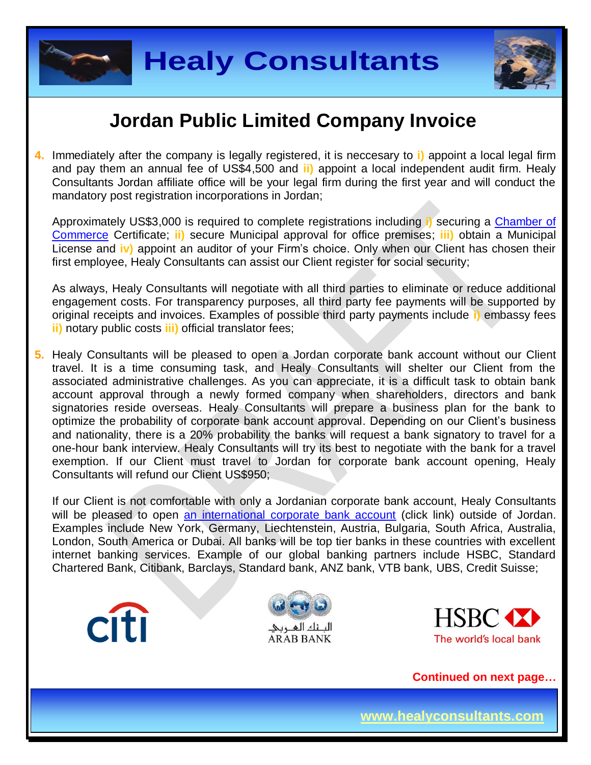



## **Jordan Public Limited Company Invoice**

**4.** Immediately after the company is legally registered, it is neccesary to **i)** appoint a local legal firm and pay them an annual fee of US\$4,500 and **ii)** appoint a local independent audit firm. Healy Consultants Jordan affiliate office will be your legal firm during the first year and will conduct the mandatory post registration incorporations in Jordan;

Approximately US\$3,000 is required to complete registrations including **i)** securing a [Chamber of](http://www.jocc.org.jo/index_en.php)  [Commerce](http://www.jocc.org.jo/index_en.php) Certificate; **ii)** secure Municipal approval for office premises; **iii)** obtain a Municipal License and **iv)** appoint an auditor of your Firm's choice. Only when our Client has chosen their first employee, Healy Consultants can assist our Client register for social security;

As always, Healy Consultants will negotiate with all third parties to eliminate or reduce additional engagement costs. For transparency purposes, all third party fee payments will be supported by original receipts and invoices. Examples of possible third party payments include **i)** embassy fees **ii)** notary public costs **iii)** official translator fees;

**5.** Healy Consultants will be pleased to open a Jordan corporate bank account without our Client travel. It is a time consuming task, and Healy Consultants will shelter our Client from the associated administrative challenges. As you can appreciate, it is a difficult task to obtain bank account approval through a newly formed company when shareholders, directors and bank signatories reside overseas. Healy Consultants will prepare a business plan for the bank to optimize the probability of corporate bank account approval. Depending on our Client's business and nationality, there is a 20% probability the banks will request a bank signatory to travel for a one-hour bank interview. Healy Consultants will try its best to negotiate with the bank for a travel exemption. If our Client must travel to Jordan for corporate bank account opening, Healy Consultants will refund our Client US\$950;

If our Client is not comfortable with only a Jordanian corporate bank account, Healy Consultants will be pleased to open [an international corporate bank account](http://www.healyconsultants.com/international-banking/) (click link) outside of Jordan. Examples include New York, Germany, Liechtenstein, Austria, Bulgaria, South Africa, Australia, London, South America or Dubai. All banks will be top tier banks in these countries with excellent internet banking services. Example of our global banking partners include HSBC, Standard Chartered Bank, Citibank, Barclays, Standard bank, ANZ bank, VTB bank, UBS, Credit Suisse;







**Continued on next page…**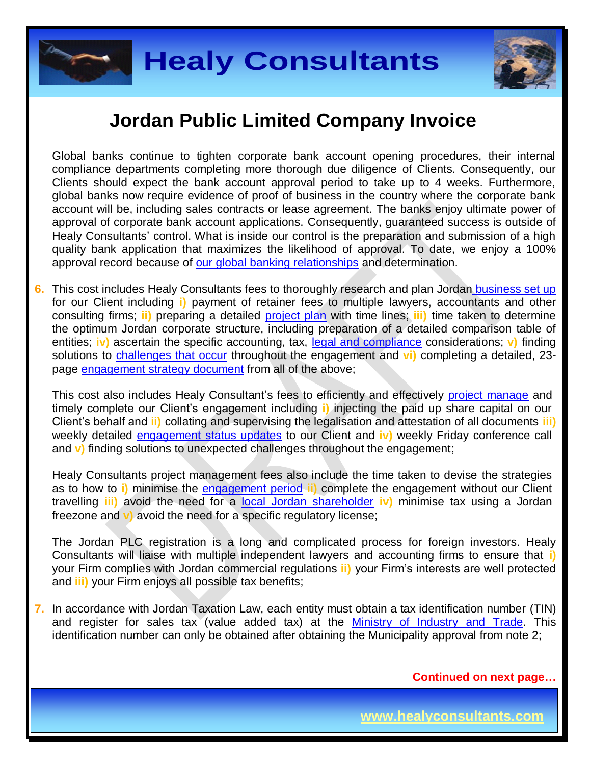



### **Jordan Public Limited Company Invoice**

Global banks continue to tighten corporate bank account opening procedures, their internal compliance departments completing more thorough due diligence of Clients. Consequently, our Clients should expect the bank account approval period to take up to 4 weeks. Furthermore, global banks now require evidence of proof of business in the country where the corporate bank account will be, including sales contracts or lease agreement. The banks enjoy ultimate power of approval of corporate bank account applications. Consequently, guaranteed success is outside of Healy Consultants' control. What is inside our control is the preparation and submission of a high quality bank application that maximizes the likelihood of approval. To date, we enjoy a 100% approval record because of [our global banking relationships](http://www.healyconsultants.com/international-banking/corporate-accounts/) and determination.

**6.** This cost includes Healy Consultants fees to thoroughly research and plan Jordan [business set up](http://www.healyconsultants.com/jordan-company-registration/) for our Client including **i)** payment of retainer fees to multiple lawyers, accountants and other consulting firms; **ii)** preparing a detailed [project plan](http://www.healyconsultants.com/index-important-links/example-project-plan/) with time lines; **iii)** time taken to determine the optimum Jordan corporate structure, including preparation of a detailed comparison table of entities; **iv)** ascertain the specific accounting, tax, [legal and compliance](http://www.healyconsultants.com/about-us/key-personnel/cai-xin-profile/) considerations; v) finding solutions to [challenges that occur](http://www.healyconsultants.com/engagement-project-management/) throughout the engagement and **vi)** completing a detailed, 23 page [engagement strategy document](http://www.healyconsultants.com/engagement-strategy/) from all of the above;

This cost also includes Healy Consultant's fees to efficiently and effectively [project manage](http://www.healyconsultants.com/project-manage-engagements/) and timely complete our Client's engagement including **i)** injecting the paid up share capital on our Client's behalf and **ii)** collating and supervising the legalisation and attestation of all documents **iii)**  weekly detailed [engagement status updates](http://www.healyconsultants.com/index-important-links/weekly-engagement-status-email/) to our Client and **iv)** weekly Friday conference call and **v)** finding solutions to unexpected challenges throughout the engagement;

Healy Consultants project management fees also include the time taken to devise the strategies as to how to **i)** minimise the [engagement period](http://www.healyconsultants.com/jordan-company-registration/fees-timelines/) **ii)** complete the engagement without our Client travelling **iii)** avoid the need for a [local Jordan](http://www.healyconsultants.com/national-shareholder-services/) shareholder **iv)** minimise tax using a Jordan freezone and **v)** avoid the need for a specific regulatory license;

The Jordan PLC registration is a long and complicated process for foreign investors. Healy Consultants will liaise with multiple independent lawyers and accounting firms to ensure that **i)** your Firm complies with Jordan commercial regulations **ii)** your Firm's interests are well protected and **iii)** your Firm enjoys all possible tax benefits;

**7.** In accordance with Jordan Taxation Law, each entity must obtain a tax identification number (TIN) and register for sales tax (value added tax) at the [Ministry of Industry and Trade.](https://www.mit.gov.jo/) This identification number can only be obtained after obtaining the Municipality approval from note 2;

**Continued on next page…**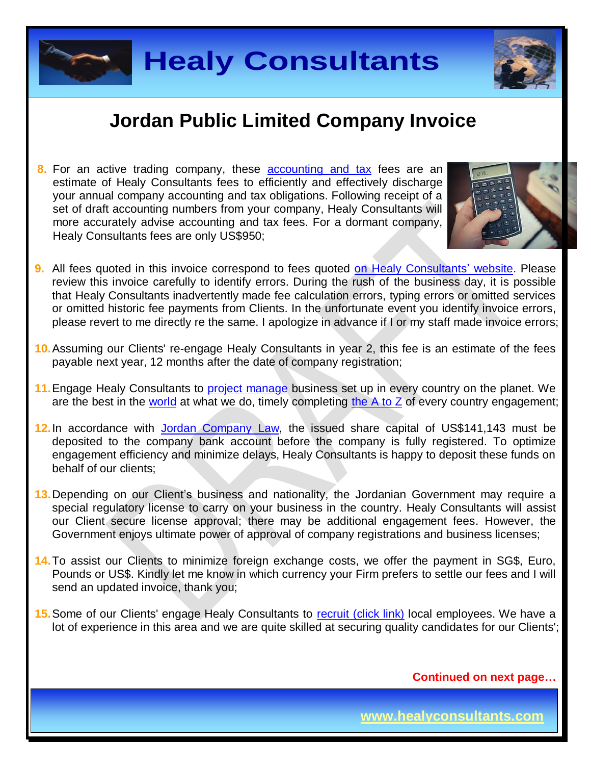



## **Jordan Public Limited Company Invoice**

**8.** For an active trading company, these **[accounting and tax](http://www.healyconsultants.com/jordan-company-registration/accounting-legal/)** fees are an estimate of Healy Consultants fees to efficiently and effectively discharge your annual company accounting and tax obligations. Following receipt of a set of draft accounting numbers from your company, Healy Consultants will more accurately advise accounting and tax fees. For a dormant company, Healy Consultants fees are only US\$950;



- **9.** All fees quoted in this invoice correspond to fees quoted [on Healy Consultants' website.](http://www.healyconsultants.com/company-registration-fees/) Please review this invoice carefully to identify errors. During the rush of the business day, it is possible that Healy Consultants inadvertently made fee calculation errors, typing errors or omitted services or omitted historic fee payments from Clients. In the unfortunate event you identify invoice errors, please revert to me directly re the same. I apologize in advance if I or my staff made invoice errors;
- **10.**Assuming our Clients' re-engage Healy Consultants in year 2, this fee is an estimate of the fees payable next year, 12 months after the date of company registration;
- **11.**Engage Healy Consultants to [project manage](http://www.healyconsultants.com/project-manage-engagements/) business set up in every country on the planet. We are the best in the [world](http://www.healyconsultants.com/best-in-the-world/) at what we do, timely completing the  $A$  to  $\overline{Z}$  of every country engagement;
- **12.**In accordance with [Jordan Company Law,](https://www.sdc.com.jo/english/index.php?option=com_content&task=view&id=227&Itemid=63) the issued share capital of US\$141,143 must be deposited to the company bank account before the company is fully registered. To optimize engagement efficiency and minimize delays, Healy Consultants is happy to deposit these funds on behalf of our clients;
- **13.**Depending on our Client's business and nationality, the Jordanian Government may require a special regulatory license to carry on your business in the country. Healy Consultants will assist our Client secure license approval; there may be additional engagement fees. However, the Government enjoys ultimate power of approval of company registrations and business licenses;
- **14.**To assist our Clients to minimize foreign exchange costs, we offer the payment in SG\$, Euro, Pounds or US\$. Kindly let me know in which currency your Firm prefers to settle our fees and I will send an updated invoice, thank you;
- **15.** Some of our Clients' engage Healy Consultants to [recruit \(click link\)](http://www.healyconsultants.com/corporate-outsourcing-services/how-we-help-our-clients-recruit-quality-employees/) local employees. We have a lot of experience in this area and we are quite skilled at securing quality candidates for our Clients';

**Continued on next page…**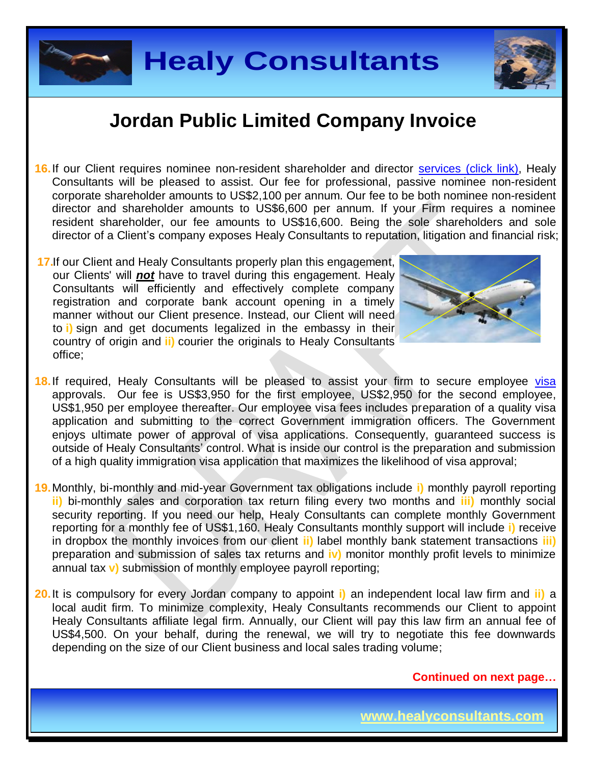



#### **Jordan Public Limited Company Invoice**

- 16. If our Client requires nominee non-resident shareholder and director services [\(click link\),](http://www.healyconsultants.com/corporate-outsourcing-services/nominee-shareholders-directors/) Healy Consultants will be pleased to assist. Our fee for professional, passive nominee non-resident corporate shareholder amounts to US\$2,100 per annum. Our fee to be both nominee non-resident director and shareholder amounts to US\$6,600 per annum. If your Firm requires a nominee resident shareholder, our fee amounts to US\$16,600. Being the sole shareholders and sole director of a Client's company exposes Healy Consultants to reputation, litigation and financial risk;
- **17.**If our Client and Healy Consultants properly plan this engagement, our Clients' will *not* have to travel during this engagement. Healy Consultants will efficiently and effectively complete company registration and corporate bank account opening in a timely manner without our Client presence. Instead, our Client will need to **i)** sign and get documents legalized in the embassy in their country of origin and **ii)** courier the originals to Healy Consultants office;



- 18. If required, Healy Consultants will be pleased to assist your firm to secure employee [visa](http://www.healyconsultants.com/jordan-company-registration/formation-support-services/#visas) approvals. Our fee is US\$3,950 for the first employee, US\$2,950 for the second employee, US\$1,950 per employee thereafter. Our employee visa fees includes preparation of a quality visa application and submitting to the correct Government immigration officers. The Government enjoys ultimate power of approval of visa applications. Consequently, guaranteed success is outside of Healy Consultants' control. What is inside our control is the preparation and submission of a high quality immigration visa application that maximizes the likelihood of visa approval;
- **19.**Monthly, bi-monthly and mid-year Government tax obligations include **i)** monthly payroll reporting **ii)** bi-monthly sales and corporation tax return filing every two months and **iii)** monthly social security reporting. If you need our help, Healy Consultants can complete monthly Government reporting for a monthly fee of US\$1,160. Healy Consultants monthly support will include **i)** receive in dropbox the monthly invoices from our client **ii)** label monthly bank statement transactions **iii)** preparation and submission of sales tax returns and **iv)** monitor monthly profit levels to minimize annual tax **v)** submission of monthly employee payroll reporting;
- **20.**It is compulsory for every Jordan company to appoint **i)** an independent local law firm and **ii)** a local audit firm. To minimize complexity, Healy Consultants recommends our Client to appoint Healy Consultants affiliate legal firm. Annually, our Client will pay this law firm an annual fee of US\$4,500. On your behalf, during the renewal, we will try to negotiate this fee downwards depending on the size of our Client business and local sales trading volume;

**Continued on next page…**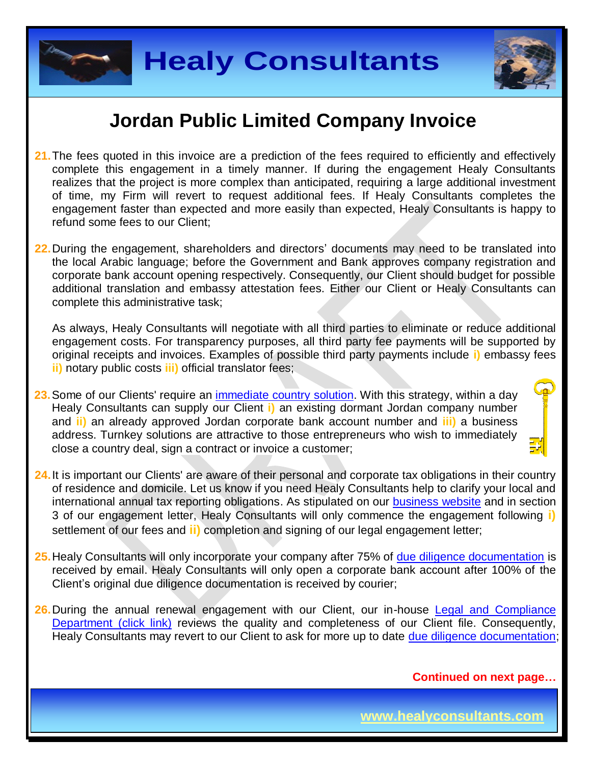



### **Jordan Public Limited Company Invoice**

- **21.**The fees quoted in this invoice are a prediction of the fees required to efficiently and effectively complete this engagement in a timely manner. If during the engagement Healy Consultants realizes that the project is more complex than anticipated, requiring a large additional investment of time, my Firm will revert to request additional fees. If Healy Consultants completes the engagement faster than expected and more easily than expected, Healy Consultants is happy to refund some fees to our Client;
- **22.**During the engagement, shareholders and directors' documents may need to be translated into the local Arabic language; before the Government and Bank approves company registration and corporate bank account opening respectively. Consequently, our Client should budget for possible additional translation and embassy attestation fees. Either our Client or Healy Consultants can complete this administrative task;

As always, Healy Consultants will negotiate with all third parties to eliminate or reduce additional engagement costs. For transparency purposes, all third party fee payments will be supported by original receipts and invoices. Examples of possible third party payments include **i)** embassy fees **ii)** notary public costs **iii)** official translator fees;

- **23.**Some of our Clients' require an [immediate country](http://www.healyconsultants.com/turnkey-solutions/) solution. With this strategy, within a day Healy Consultants can supply our Client **i)** an existing dormant Jordan company number and **ii)** an already approved Jordan corporate bank account number and **iii)** a business address. Turnkey solutions are attractive to those entrepreneurs who wish to immediately close a country deal, sign a contract or invoice a customer;
- **24.**It is important our Clients' are aware of their personal and corporate tax obligations in their country of residence and domicile. Let us know if you need Healy Consultants help to clarify your local and international annual tax reporting obligations. As stipulated on our [business website](http://www.healyconsultants.com/) and in section 3 of our engagement letter, Healy Consultants will only commence the engagement following **i)** settlement of our fees and **ii)** completion and signing of our legal engagement letter;
- **25.**Healy Consultants will only incorporate your company after 75% of [due diligence documentation](http://www.healyconsultants.com/due-diligence/) is received by email. Healy Consultants will only open a corporate bank account after 100% of the Client's original due diligence documentation is received by courier;
- 26. During the annual renewal engagement with our Client, our in-house Legal and Compliance [Department \(click link\)](http://www.healyconsultants.com/about-us/key-personnel/cai-xin-profile/) reviews the quality and completeness of our Client file. Consequently, Healy Consultants may revert to our Client to ask for more up to date [due diligence documentation;](http://www.healyconsultants.com/due-diligence/)

**Continued on next page…**